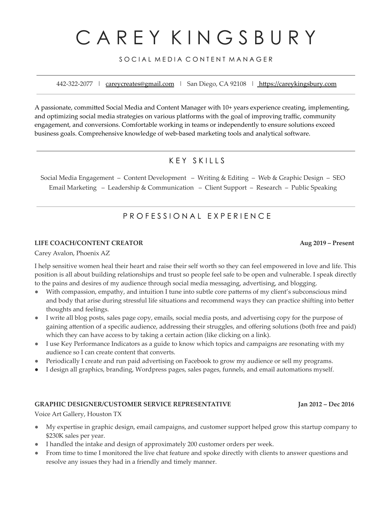# C A R E Y K I N G S B U R Y

### SOCIAL MEDIA CONTENT MANAGER

442-322-2077 | [careycreates@gmail.com](mailto:careycreates@gmail.com) | San Diego, CA 92108 | <https://careykingsbury.com>

A passionate, committed Social Media and Content Manager with 10+ years experience creating, implementing, and optimizing social media strategies on various platforms with the goal of improving traffic, community engagement, and conversions. Comfortable working in teams or independently to ensure solutions exceed business goals. Comprehensive knowledge of web-based marketing tools and analytical software.

## K F Y S K I L L S

Social Media Engagement – Content Development – Writing & Editing – Web & Graphic Design – SEO Email Marketing – Leadership & Communication – Client Support – Research – Public Speaking

## P R O F E S S I O N A L E X P E R I E N C E

#### **LIFE COACH/CONTENT CREATOR Aug 2019 – Present**

Carey Avalon, Phoenix AZ

I help sensitive women heal their heart and raise their self worth so they can feel empowered in love and life. This position is all about building relationships and trust so people feel safe to be open and vulnerable. I speak directly to the pains and desires of my audience through social media messaging, advertising, and blogging.

- With compassion, empathy, and intuition I tune into subtle core patterns of my client's subconscious mind and body that arise during stressful life situations and recommend ways they can practice shifting into better thoughts and feelings.
- I write all blog posts, sales page copy, emails, social media posts, and advertising copy for the purpose of gaining attention of a specific audience, addressing their struggles, and offering solutions (both free and paid) which they can have access to by taking a certain action (like clicking on a link).
- I use Key Performance Indicators as a guide to know which topics and campaigns are resonating with my audience so I can create content that converts.
- Periodically I create and run paid advertising on Facebook to grow my audience or sell my programs.
- I design all graphics, branding, Wordpress pages, sales pages, funnels, and email automations myself.

#### **GRAPHIC DESIGNER/CUSTOMER SERVICE REPRESENTATIVE Jan 2012 – Dec 2016**

Voice Art Gallery, Houston TX

- My expertise in graphic design, email campaigns, and customer support helped grow this startup company to \$230K sales per year.
- I handled the intake and design of approximately 200 customer orders per week.
- From time to time I monitored the live chat feature and spoke directly with clients to answer questions and resolve any issues they had in a friendly and timely manner.